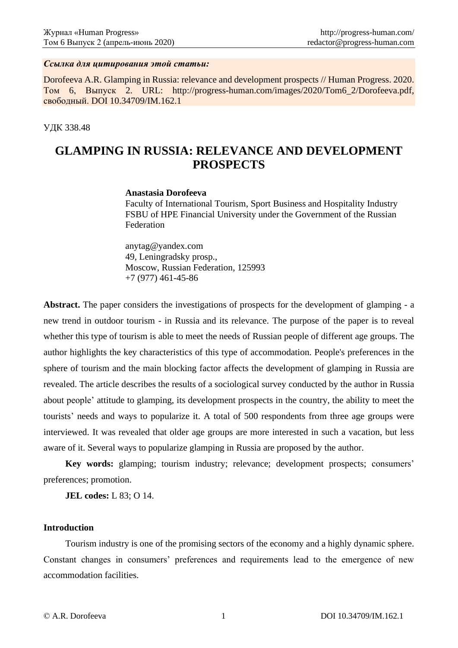#### *Ссылка для цитирования этой статьи:*

Dorofeeva A.R. Glamping in Russia: relevance and development prospects // Human Progress. 2020. Том 6, Выпуск 2. URL: http://progress-human.com/images/2020/Tom6\_2/Dorofeeva.pdf, свободный. DOI 10.34709/IM.162.1

#### УДК 338.48

# **GLAMPING IN RUSSIA: RELEVANCE AND DEVELOPMENT PROSPECTS**

#### **Anastasia Dorofeeva**

Faculty of International Tourism, Sport Business and Hospitality Industry FSBU of HPE Financial University under the Government of the Russian Federation

anytag@yandex.com 49, Leningradsky prosp., Moscow, Russian Federation, 125993 +7 (977) 461-45-86

**Abstract.** The paper considers the investigations of prospects for the development of glamping - a new trend in outdoor tourism - in Russia and its relevance. The purpose of the paper is to reveal whether this type of tourism is able to meet the needs of Russian people of different age groups. The author highlights the key characteristics of this type of accommodation. People's preferences in the sphere of tourism and the main blocking factor affects the development of glamping in Russia are revealed. The article describes the results of a sociological survey conducted by the author in Russia about people' attitude to glamping, its development prospects in the country, the ability to meet the tourists' needs and ways to popularize it. A total of 500 respondents from three age groups were interviewed. It was revealed that older age groups are more interested in such a vacation, but less aware of it. Several ways to popularize glamping in Russia are proposed by the author.

**Key words:** glamping; tourism industry; relevance; development prospects; consumers' preferences; promotion.

**JEL codes:** L 83; O 14.

### **Introduction**

Tourism industry is one of the promising sectors of the economy and a highly dynamic sphere. Constant changes in consumers' preferences and requirements lead to the emergence of new accommodation facilities.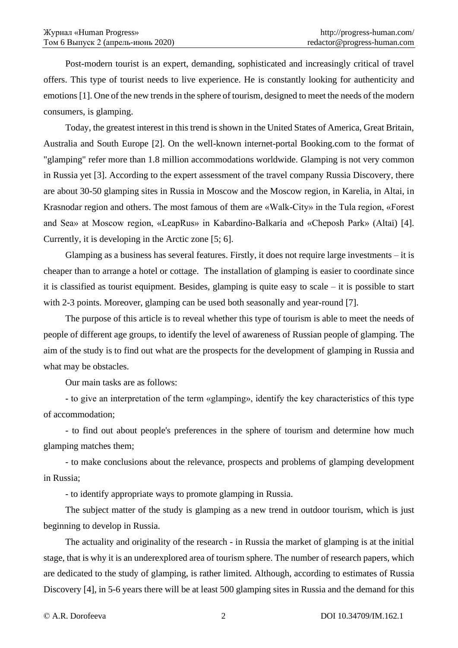Post-modern tourist is an expert, demanding, sophisticated and increasingly critical of travel offers. This type of tourist needs to live experience. He is constantly looking for authenticity and emotions [1]. One of the new trends in the sphere of tourism, designed to meet the needs of the modern consumers, is glamping.

Today, the greatest interest in this trend is shown in the United States of America, Great Britain, Australia and South Europe [2]. On the well-known internet-portal Booking.com to the format of "glamping" refer more than 1.8 million accommodations worldwide. Glamping is not very common in Russia yet [3]. According to the expert assessment of the travel company Russia Discovery, there are about 30-50 glamping sites in Russia in Moscow and the Moscow region, in Karelia, in Altai, in Krasnodar region and others. The most famous of them are «Walk-City» in the Tula region, «Forest and Sea» at Moscow region, «LeapRus» in Kabardino-Balkaria and «Cheposh Park» (Altai) [4]. Currently, it is developing in the Arctic zone [5; 6].

Glamping as a business has several features. Firstly, it does not require large investments – it is cheaper than to arrange a hotel or cottage. The installation of glamping is easier to coordinate since it is classified as tourist equipment. Besides, glamping is quite easy to scale – it is possible to start with 2-3 points. Moreover, glamping can be used both seasonally and year-round [7].

The purpose of this article is to reveal whether this type of tourism is able to meet the needs of people of different age groups, to identify the level of awareness of Russian people of glamping. The aim of the study is to find out what are the prospects for the development of glamping in Russia and what may be obstacles.

Our main tasks are as follows:

- to give an interpretation of the term «glamping», identify the key characteristics of this type of accommodation;

- to find out about people's preferences in the sphere of tourism and determine how much glamping matches them;

- to make conclusions about the relevance, prospects and problems of glamping development in Russia;

- to identify appropriate ways to promote glamping in Russia.

The subject matter of the study is glamping as a new trend in outdoor tourism, which is just beginning to develop in Russia.

The actuality and originality of the research - in Russia the market of glamping is at the initial stage, that is why it is an underexplored area of tourism sphere. The number of research papers, which are dedicated to the study of glamping, is rather limited. Although, according to estimates of Russia Discovery [4], in 5-6 years there will be at least 500 glamping sites in Russia and the demand for this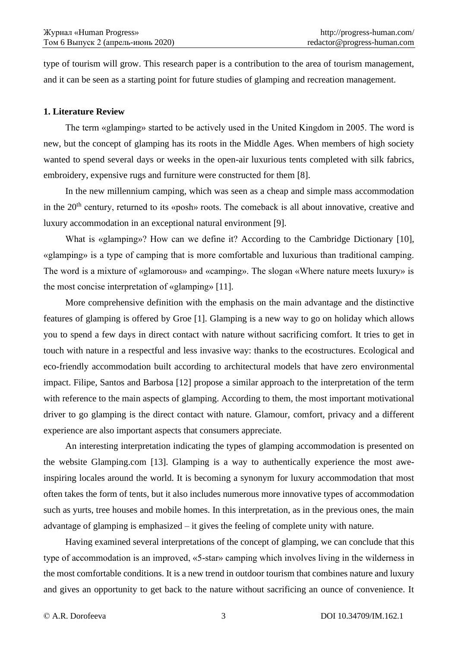type of tourism will grow. This research paper is a contribution to the area of tourism management, and it can be seen as a starting point for future studies of glamping and recreation management.

### **1. Literature Review**

The term «glamping» started to be actively used in the United Kingdom in 2005. The word is new, but the concept of glamping has its roots in the Middle Ages. When members of high society wanted to spend several days or weeks in the open-air luxurious tents completed with silk fabrics, embroidery, expensive rugs and furniture were constructed for them [8].

In the new millennium camping, which was seen as a cheap and simple mass accommodation in the 20<sup>th</sup> century, returned to its «posh» roots. The comeback is all about innovative, creative and luxury accommodation in an exceptional natural environment [9].

What is «glamping»? How can we define it? According to the Cambridge Dictionary [10], «glamping» is a type of camping that is more comfortable and luxurious than traditional camping. The word is a mixture of «glamorous» and «camping». The slogan «Where nature meets luxury» is the most concise interpretation of «glamping» [11].

More comprehensive definition with the emphasis on the main advantage and the distinctive features of glamping is offered by Groe [1]. Glamping is a new way to go on holiday which allows you to spend a few days in direct contact with nature without sacrificing comfort. It tries to get in touch with nature in a respectful and less invasive way: thanks to the ecostructures. Ecological and eco-friendly accommodation built according to architectural models that have zero environmental impact. Filipe, Santos and Barbosa [12] propose a similar approach to the interpretation of the term with reference to the main aspects of glamping. According to them, the most important motivational driver to go glamping is the direct contact with nature. Glamour, comfort, privacy and a different experience are also important aspects that consumers appreciate.

An interesting interpretation indicating the types of glamping accommodation is presented on the website Glamping.com [13]. Glamping is a way to authentically experience the most aweinspiring locales around the world. It is becoming a synonym for luxury accommodation that most often takes the form of tents, but it also includes numerous more innovative types of accommodation such as yurts, tree houses and mobile homes. In this interpretation, as in the previous ones, the main advantage of glamping is emphasized – it gives the feeling of complete unity with nature.

Having examined several interpretations of the concept of glamping, we can conclude that this type of accommodation is an improved, «5-star» camping which involves living in the wilderness in the most comfortable conditions. It is a new trend in outdoor tourism that combines nature and luxury and gives an opportunity to get back to the nature without sacrificing an ounce of convenience. It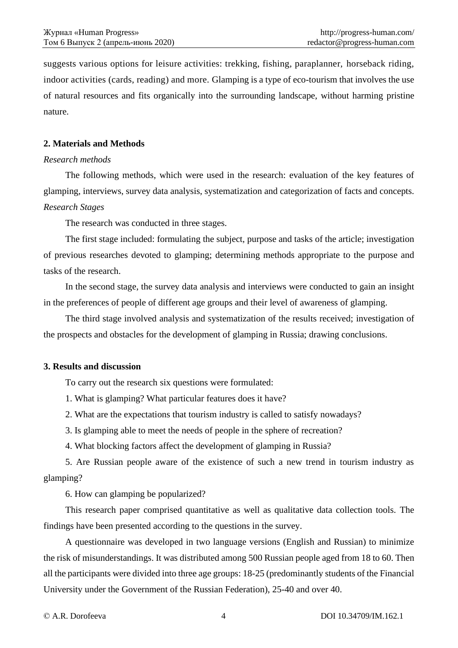suggests various options for leisure activities: trekking, fishing, paraplanner, horseback riding, indoor activities (cards, reading) and more. Glamping is a type of eco-tourism that involves the use of natural resources and fits organically into the surrounding landscape, without harming pristine nature.

### **2. Materials and Methods**

### *Research methods*

The following methods, which were used in the research: evaluation of the key features of glamping, interviews, survey data analysis, systematization and categorization of facts and concepts. *Research Stages*

The research was conducted in three stages.

The first stage included: formulating the subject, purpose and tasks of the article; investigation of previous researches devoted to glamping; determining methods appropriate to the purpose and tasks of the research.

In the second stage, the survey data analysis and interviews were conducted to gain an insight in the preferences of people of different age groups and their level of awareness of glamping.

The third stage involved analysis and systematization of the results received; investigation of the prospects and obstacles for the development of glamping in Russia; drawing conclusions.

### **3. Results and discussion**

To carry out the research six questions were formulated:

1. What is glamping? What particular features does it have?

2. What are the expectations that tourism industry is called to satisfy nowadays?

3. Is glamping able to meet the needs of people in the sphere of recreation?

4. What blocking factors affect the development of glamping in Russia?

5. Are Russian people aware of the existence of such a new trend in tourism industry as glamping?

6. How can glamping be popularized?

This research paper comprised quantitative as well as qualitative data collection tools. The findings have been presented according to the questions in the survey.

A questionnaire was developed in two language versions (English and Russian) to minimize the risk of misunderstandings. It was distributed among 500 Russian people aged from 18 to 60. Then all the participants were divided into three age groups: 18-25 (predominantly students of the Financial University under the Government of the Russian Federation), 25-40 and over 40.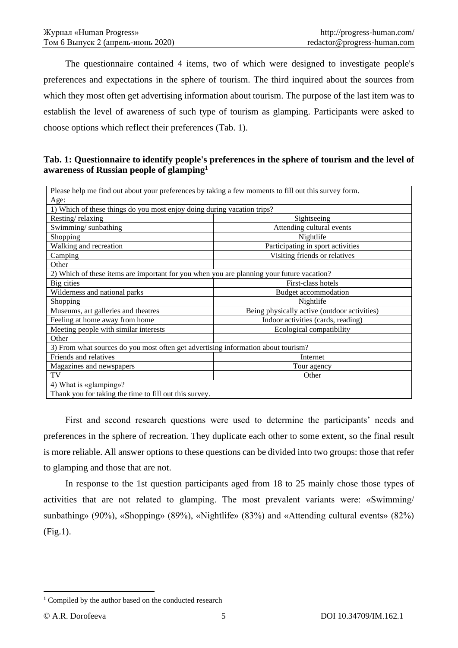The questionnaire contained 4 items, two of which were designed to investigate people's preferences and expectations in the sphere of tourism. The third inquired about the sources from which they most often get advertising information about tourism. The purpose of the last item was to establish the level of awareness of such type of tourism as glamping. Participants were asked to choose options which reflect their preferences (Tab. 1).

**Tab. 1: Questionnaire to identify people's preferences in the sphere of tourism and the level of awareness of Russian people of glamping<sup>1</sup>**

| Please help me find out about your preferences by taking a few moments to fill out this survey form. |                                              |  |
|------------------------------------------------------------------------------------------------------|----------------------------------------------|--|
| Age:                                                                                                 |                                              |  |
| 1) Which of these things do you most enjoy doing during vacation trips?                              |                                              |  |
| Resting/relaxing                                                                                     | Sightseeing                                  |  |
| Swimming/sunbathing                                                                                  | Attending cultural events                    |  |
| Shopping                                                                                             | Nightlife                                    |  |
| Walking and recreation                                                                               | Participating in sport activities            |  |
| Camping                                                                                              | Visiting friends or relatives                |  |
| Other                                                                                                |                                              |  |
| 2) Which of these items are important for you when you are planning your future vacation?            |                                              |  |
| Big cities                                                                                           | First-class hotels                           |  |
| Wilderness and national parks                                                                        | Budget accommodation                         |  |
| Shopping                                                                                             | Nightlife                                    |  |
| Museums, art galleries and theatres                                                                  | Being physically active (outdoor activities) |  |
| Feeling at home away from home                                                                       | Indoor activities (cards, reading)           |  |
| Meeting people with similar interests                                                                | Ecological compatibility                     |  |
| Other                                                                                                |                                              |  |
| 3) From what sources do you most often get advertising information about tourism?                    |                                              |  |
| Friends and relatives                                                                                | Internet                                     |  |
| Magazines and newspapers                                                                             | Tour agency                                  |  |
| TV                                                                                                   | Other                                        |  |
| 4) What is «glamping»?                                                                               |                                              |  |
| Thank you for taking the time to fill out this survey                                                |                                              |  |

Thank you for taking the time to fill out this survey.

First and second research questions were used to determine the participants' needs and preferences in the sphere of recreation. They duplicate each other to some extent, so the final result is more reliable. All answer options to these questions can be divided into two groups: those that refer to glamping and those that are not.

In response to the 1st question participants aged from 18 to 25 mainly chose those types of activities that are not related to glamping. The most prevalent variants were: «Swimming/ sunbathing» (90%), «Shopping» (89%), «Nightlife» (83%) and «Attending cultural events» (82%) (Fig.1).

<sup>&</sup>lt;sup>1</sup> Compiled by the author based on the conducted research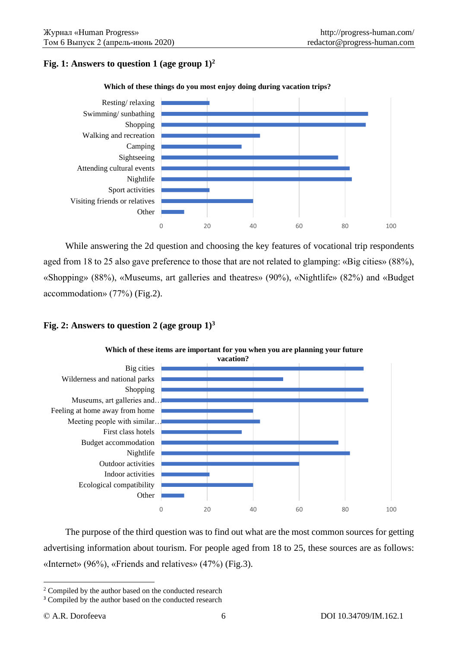# **Fig. 1: Answers to question 1 (age group 1)<sup>2</sup>**



While answering the 2d question and choosing the key features of vocational trip respondents aged from 18 to 25 also gave preference to those that are not related to glamping: «Big cities» (88%), «Shopping» (88%), «Museums, art galleries and theatres» (90%), «Nightlife» (82%) and «Budget accommodation» (77%) (Fig.2).

### **Fig. 2: Answers to question 2 (age group 1)<sup>3</sup>**



**Which of these items are important for you when you are planning your future** 

The purpose of the third question was to find out what are the most common sources for getting advertising information about tourism. For people aged from 18 to 25, these sources are as follows: «Internet» (96%), «Friends and relatives» (47%) (Fig.3).

<sup>&</sup>lt;sup>2</sup> Compiled by the author based on the conducted research

<sup>&</sup>lt;sup>3</sup> Compiled by the author based on the conducted research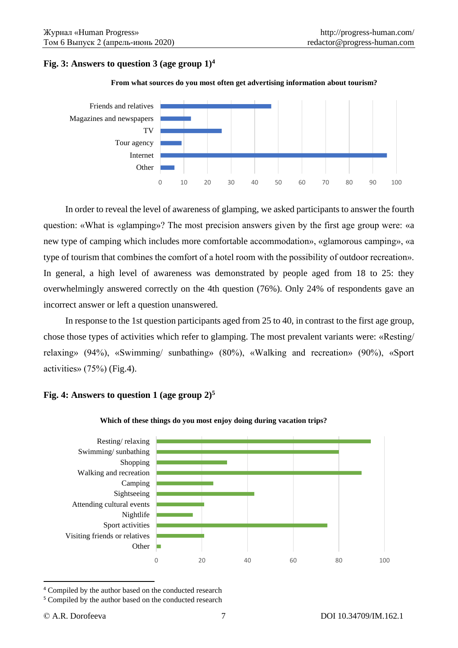# **Fig.** 3: Answers to question 3 (age group  $1$ )<sup>4</sup>





In order to reveal the level of awareness of glamping, we asked participants to answer the fourth question: «What is «glamping»? The most precision answers given by the first age group were: «a new type of camping which includes more comfortable accommodation», «glamorous camping», «a type of tourism that combines the comfort of a hotel room with the possibility of outdoor recreation». In general, a high level of awareness was demonstrated by people aged from 18 to 25: they overwhelmingly answered correctly on the 4th question (76%). Only 24% of respondents gave an incorrect answer or left a question unanswered.

In response to the 1st question participants aged from 25 to 40, in contrast to the first age group, chose those types of activities which refer to glamping. The most prevalent variants were: «Resting/ relaxing» (94%), «Swimming/ sunbathing» (80%), «Walking and recreation» (90%), «Sport activities» (75%) (Fig.4).

# **Fig. 4: Answers to question 1 (age group 2)<sup>5</sup>**



#### **Which of these things do you most enjoy doing during vacation trips?**

<sup>4</sup> Compiled by the author based on the conducted research

<sup>5</sup> Compiled by the author based on the conducted research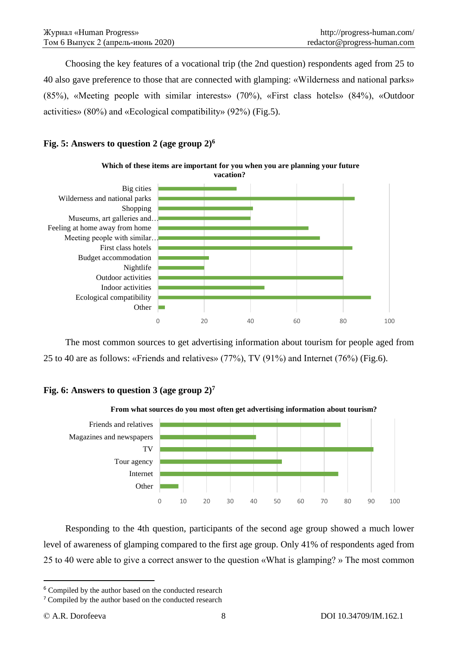Сhoosing the key features of a vocational trip (the 2nd question) respondents aged from 25 to 40 also gave preference to those that are connected with glamping: «Wilderness and national parks» (85%), «Meeting people with similar interests» (70%), «First class hotels» (84%), «Outdoor activities» (80%) and «Ecological compatibility» (92%) (Fig.5).

# **Fig. 5: Answers to question 2 (age group 2)<sup>6</sup>**



The most common sources to get advertising information about tourism for people aged from 25 to 40 are as follows: «Friends and relatives» (77%), TV (91%) and Internet (76%) (Fig.6).

# **Fig. 6: Answers to question 3 (age group 2)<sup>7</sup>**



Responding to the 4th question, participants of the second age group showed a much lower level of awareness of glamping compared to the first age group. Only 41% of respondents aged from 25 to 40 were able to give a correct answer to the question «What is glamping? » The most common

<sup>&</sup>lt;sup>6</sup> Compiled by the author based on the conducted research

<sup>7</sup> Compiled by the author based on the conducted research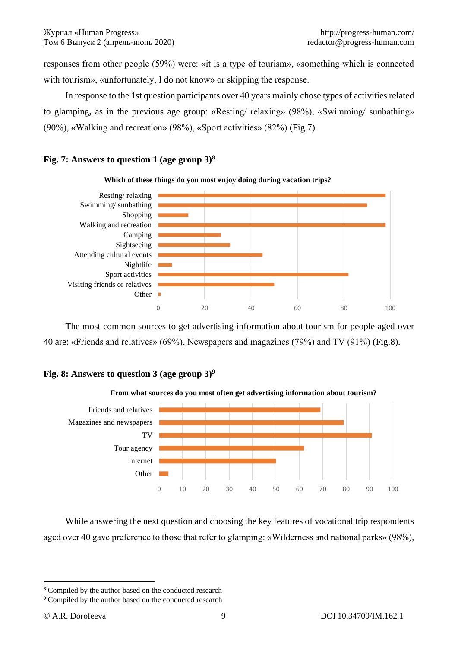responses from other people (59%) were: «it is a type of tourism», «something which is connected with tourism», «unfortunately, I do not know» or skipping the response.

In response to the 1st question participants over 40 years mainly chose types of activities related to glamping**,** as in the previous age group: «Resting/ relaxing» (98%), «Swimming/ sunbathing» (90%), «Walking and recreation» (98%), «Sport activities» (82%) (Fig.7).

### **Fig. 7: Answers to question 1 (age group 3)<sup>8</sup>**



The most common sources to get advertising information about tourism for people aged over 40 are: «Friends and relatives» (69%), Newspapers and magazines (79%) and TV (91%) (Fig.8).

# **Fig. 8: Answers to question 3 (age group 3)<sup>9</sup>**



While answering the next question and choosing the key features of vocational trip respondents aged over 40 gave preference to those that refer to glamping: «Wilderness and national parks» (98%),

<sup>8</sup> Compiled by the author based on the conducted research

<sup>9</sup> Compiled by the author based on the conducted research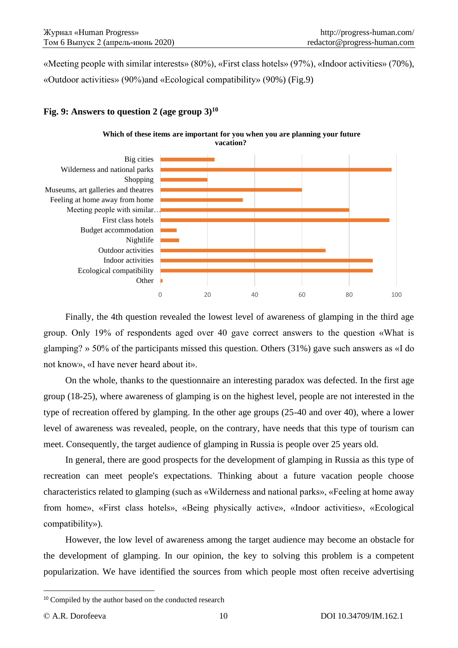«Meeting people with similar interests» (80%), «First class hotels» (97%), «Indoor activities» (70%), «Outdoor activities» (90%)and «Ecological compatibility» (90%) (Fig.9)

### **Fig. 9: Answers to question 2 (age group 3)<sup>10</sup>**





Finally, the 4th question revealed the lowest level of awareness of glamping in the third age group. Only 19% of respondents aged over 40 gave correct answers to the question «What is glamping? » 50% of the participants missed this question. Others (31%) gave such answers as «I do not know», «I have never heard about it».

On the whole, thanks to the questionnaire an interesting paradox was defected. In the first age group (18-25), where awareness of glamping is on the highest level, people are not interested in the type of recreation offered by glamping. In the other age groups (25-40 and over 40), where a lower level of awareness was revealed, people, on the contrary, have needs that this type of tourism can meet. Сonsequently, the target audience of glamping in Russia is people over 25 years old.

In general, there are good prospects for the development of glamping in Russia as this type of recreation can meet people's expectations. Thinking about a future vacation people choose characteristics related to glamping (such as «Wilderness and national parks», «Feeling at home away from home», «First class hotels», «Being physically active», «Indoor activities», «Ecological compatibility»).

However, the low level of awareness among the target audience may become an obstacle for the development of glamping. In our opinion, the key to solving this problem is a competent popularization. We have identified the sources from which people most often receive advertising

<sup>&</sup>lt;sup>10</sup> Compiled by the author based on the conducted research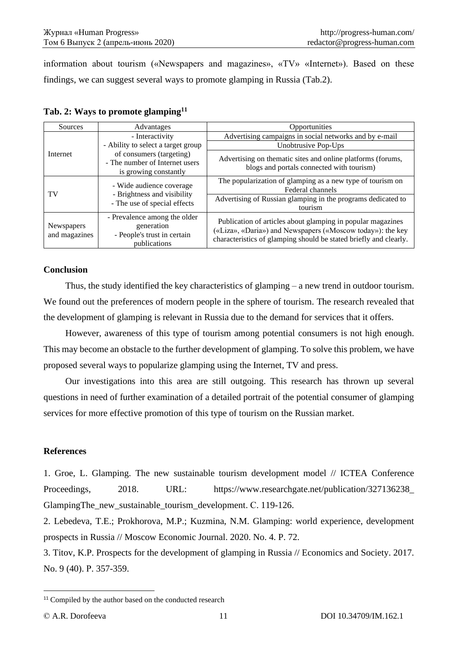information about tourism («Newspapers and magazines», «TV» «Internet»). Based on these findings, we can suggest several ways to promote glamping in Russia (Tab.2).

| Sources                           | Advantages                                                                                                                | Opportunities                                                                                                                                                                                  |
|-----------------------------------|---------------------------------------------------------------------------------------------------------------------------|------------------------------------------------------------------------------------------------------------------------------------------------------------------------------------------------|
| Internet                          | - Interactivity                                                                                                           | Advertising campaigns in social networks and by e-mail                                                                                                                                         |
|                                   | - Ability to select a target group<br>of consumers (targeting)<br>- The number of Internet users<br>is growing constantly | Unobtrusive Pop-Ups                                                                                                                                                                            |
|                                   |                                                                                                                           | Advertising on thematic sites and online platforms (forums,<br>blogs and portals connected with tourism)                                                                                       |
| - Brightness and visibility<br>TV | - Wide audience coverage                                                                                                  | The popularization of glamping as a new type of tourism on<br>Federal channels                                                                                                                 |
|                                   | - The use of special effects                                                                                              | Advertising of Russian glamping in the programs dedicated to<br>tourism                                                                                                                        |
| Newspapers<br>and magazines       | - Prevalence among the older<br>generation<br>- People's trust in certain<br>publications                                 | Publication of articles about glamping in popular magazines<br>(«Liza», «Daria») and Newspapers («Moscow today»): the key<br>characteristics of glamping should be stated briefly and clearly. |

**Tab. 2: Ways to promote glamping<sup>11</sup>**

### **Conclusion**

Thus, the study identified the key characteristics of glamping – a new trend in outdoor tourism. We found out the preferences of modern people in the sphere of tourism. The research revealed that the development of glamping is relevant in Russia due to the demand for services that it offers.

However, awareness of this type of tourism among potential consumers is not high enough. This may become an obstacle to the further development of glamping. To solve this problem, we have proposed several ways to popularize glamping using the Internet, TV and press.

Our investigations into this area are still outgoing. This research has thrown up several questions in need of further examination of a detailed portrait of the potential consumer of glamping services for more effective promotion of this type of tourism on the Russian market.

### **References**

1. Groe, L. Glamping. The new sustainable tourism development model // ICTEA Conference Proceedings, 2018. URL: https://www.researchgate.net/publication/327136238 GlampingThe\_new\_sustainable\_tourism\_development. С. 119-126.

2. Lebedeva, T.E.; Prokhorova, M.P.; Kuzmina, N.M. Glamping: world experience, development prospects in Russia // Moscow Economic Journal. 2020. No. 4. P. 72.

3. Titov, K.P. Prospects for the development of glamping in Russia // Economics and Society. 2017. No. 9 (40). Р. 357-359.

<sup>&</sup>lt;sup>11</sup> Compiled by the author based on the conducted research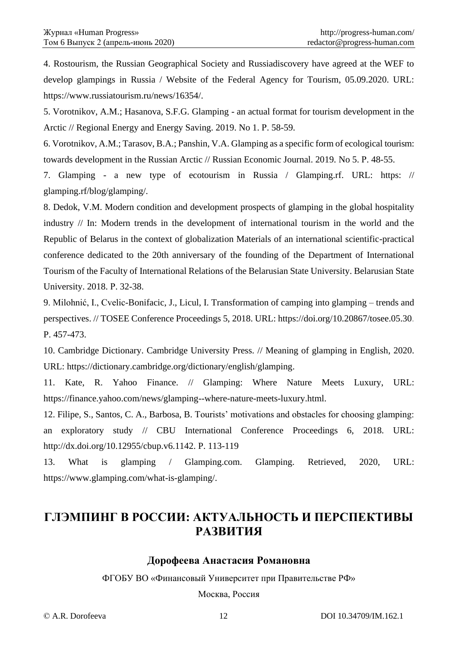4. Rostourism, the Russian Geographical Society and Russiadiscovery have agreed at the WEF to develop glampings in Russia / Website of the Federal Agency for Tourism, 05.09.2020. URL: https://www.russiatourism.ru/news/16354/.

5. Vorotnikov, A.M.; Hasanova, S.F.G. Glamping - an actual format for tourism development in the Arctic // Regional Energy and Energy Saving. 2019. No 1. Р. 58-59.

6. Vorotnikov, A.M.; Tarasov, B.A.; Panshin, V.A. Glamping as a specific form of ecological tourism: towards development in the Russian Arctic // Russian Economic Journal. 2019. No 5. Р. 48-55.

7. Glamping - a new type of ecotourism in Russia / Glamping.rf. URL: https: // glamping.rf/blog/glamping/.

8. Dedok, V.M. Modern condition and development prospects of glamping in the global hospitality industry // In: Modern trends in the development of international tourism in the world and the Republic of Belarus in the context of globalization Materials of an international scientific-practical conference dedicated to the 20th anniversary of the founding of the Department of International Tourism of the Faculty of International Relations of the Belarusian State University. Belarusian State University. 2018. Р. 32-38.

9. Milohnić, I., Cvelic-Bonifacic, J., Licul, I. Transformation of camping into glamping – trends and perspectives. // TOSEE Conference Proceedings 5, 2018. URL: https://doi.org/10.20867/tosee.05.30. P. 457-473.

10. Cambridge Dictionary. Cambridge University Press. // Meaning of glamping in English, 2020. URL: https://dictionary.cambridge.org/dictionary/english/glamping.

11. Kate, R. Yahoo Finance. // Glamping: Where Nature Meets Luxury, URL: https://finance.yahoo.com/news/glamping--where-nature-meets-luxury.html.

12. Filipe, S., Santos, C. A., Barbosa, B. Tourists' motivations and obstacles for choosing glamping: an exploratory study // CBU International Conference Proceedings 6, 2018. URL: http://dx.doi.org/10.12955/cbup.v6.1142. P. 113-119

13. What is glamping / Glamping.com. Glamping. Retrieved, 2020, URL: https://www.glamping.com/what-is-glamping/.

# **ГЛЭМПИНГ В РОССИИ: АКТУАЛЬНОСТЬ И ПЕРСПЕКТИВЫ РАЗВИТИЯ**

# **Дорофеева Анастасия Романовна**

ФГОБУ ВО «Финансовый Университет при Правительстве РФ»

Москва, Россия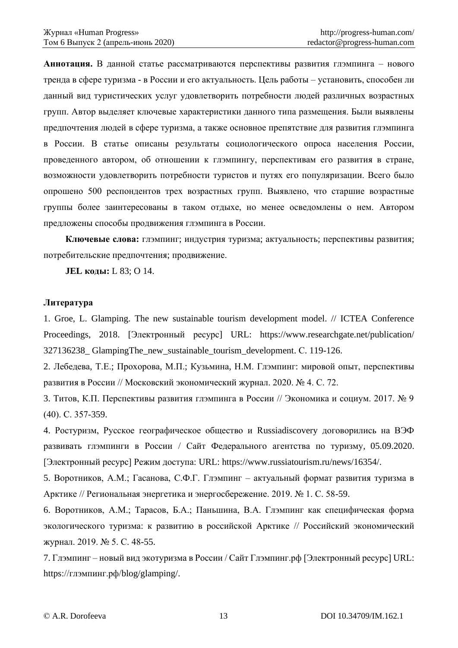**Аннотация.** В данной статье рассматриваются перспективы развития глэмпинга – нового тренда в сфере туризма - в России и его актуальность. Цель работы – установить, способен ли данный вид туристических услуг удовлетворить потребности людей различных возрастных групп. Автор выделяет ключевые характеристики данного типа размещения. Были выявлены предпочтения людей в сфере туризма, а также основное препятствие для развития глэмпинга в России. В статье описаны результаты социологического опроса населения России, проведенного автором, об отношении к глэмпингу, перспективам его развития в стране, возможности удовлетворить потребности туристов и путях его популяризации. Всего было опрошено 500 респондентов трех возрастных групп. Выявлено, что старшие возрастные группы более заинтересованы в таком отдыхе, но менее осведомлены о нем. Автором предложены способы продвижения глэмпинга в России.

**Ключевые слова:** глэмпинг; индустрия туризма; актуальность; перспективы развития; потребительские предпочтения; продвижение.

**JEL коды:** L 83; O 14.

#### **Литература**

1. Groe, L. Glamping. The new sustainable tourism development model. // ICTEA Conference Proceedings, 2018. [Электронный ресурс] URL: https://www.researchgate.net/publication/ 327136238\_ GlampingThe\_new\_sustainable\_tourism\_development. С. 119-126.

2. Лебедева, Т.Е.; Прохорова, М.П.; Кузьмина, Н.М. Глэмпинг: мировой опыт, перспективы развития в России // Московский экономический журнал. 2020. № 4. С. 72.

3. Титов, К.П. Перспективы развития глэмпинга в России // Экономика и социум. 2017. № 9 (40). С. 357-359.

4. Ростуризм, Русское географическое общество и Russiadiscovery договорились на ВЭФ развивать глэмпинги в России / Сайт Федерального агентства по туризму, 05.09.2020. [Электронный ресурс] Режим доступа: URL: https://www.russiatourism.ru/news/16354/.

5. Воротников, А.М.; Гасанова, С.Ф.Г. Глэмпинг – актуальный формат развития туризма в Арктике // Региональная энергетика и энергосбережение. 2019. № 1. С. 58-59.

6. Воротников, А.М.; Тарасов, Б.А.; Паньшина, В.А. Глэмпинг как специфическая форма экологического туризма: к развитию в российской Арктике // Российский экономический журнал. 2019. № 5. С. 48-55.

7. Глэмпинг – новый вид экотуризма в России / Сайт Глэмпинг.рф [Электронный ресурс] URL: https://глэмпинг.рф/blog/glamping/.